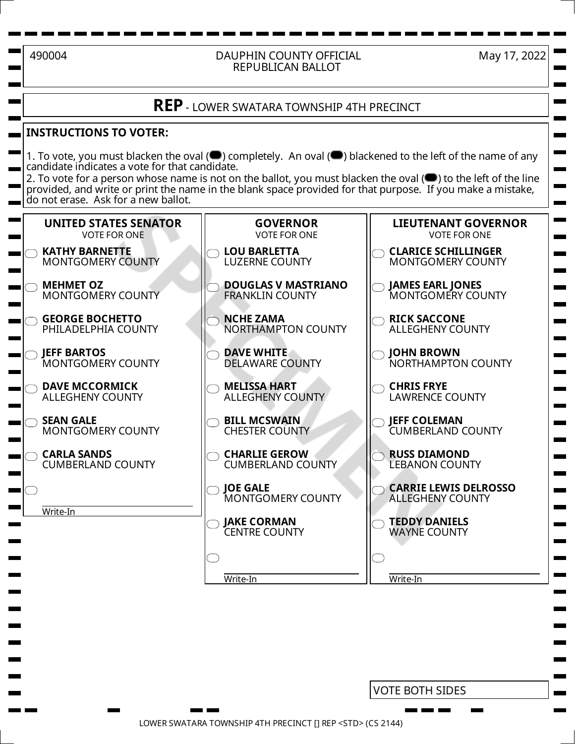## 490004 DAUPHIN COUNTY OFFICIAL REPUBLICAN BALLOT

May 17, 2022

## **REP**- LOWER SWATARA TOWNSHIP 4TH PRECINCT

## **INSTRUCTIONS TO VOTER:**

1. To vote, you must blacken the oval ( $\blacksquare$ ) completely. An oval ( $\blacksquare$ ) blackened to the left of the name of any candidate indicates a vote for that candidate.

2. To vote for a person whose name is not on the ballot, you must blacken the oval  $($ **)** to the left of the line provided, and write or print the name in the blank space provided for that purpose. If you make a mistake, do not erase. Ask for a new ballot.



VOTE BOTH SIDES